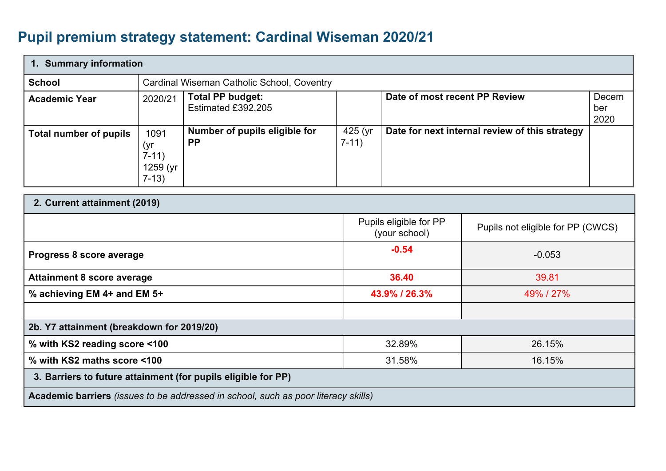## **Pupil premium strategy statement: Cardinal Wiseman 2020/21**

| 1. Summary information                    |                                                |                                                                                    |                      |                                                |                                   |                      |
|-------------------------------------------|------------------------------------------------|------------------------------------------------------------------------------------|----------------------|------------------------------------------------|-----------------------------------|----------------------|
| <b>School</b>                             |                                                | Cardinal Wiseman Catholic School, Coventry                                         |                      |                                                |                                   |                      |
| <b>Academic Year</b>                      | 2020/21                                        | <b>Total PP budget:</b><br>Estimated £392,205                                      |                      | Date of most recent PP Review                  |                                   | Decem<br>ber<br>2020 |
| <b>Total number of pupils</b>             | 1091<br>(yr)<br>$7-11)$<br>1259 (yr<br>$7-13)$ | Number of pupils eligible for<br><b>PP</b>                                         | $425$ (yr<br>$7-11)$ | Date for next internal review of this strategy |                                   |                      |
| 2. Current attainment (2019)              |                                                |                                                                                    |                      |                                                |                                   |                      |
|                                           |                                                |                                                                                    |                      | Pupils eligible for PP<br>(your school)        | Pupils not eligible for PP (CWCS) |                      |
| Progress 8 score average                  |                                                |                                                                                    |                      | $-0.54$                                        | $-0.053$                          |                      |
| <b>Attainment 8 score average</b>         |                                                |                                                                                    |                      | 36.40                                          | 39.81                             |                      |
| % achieving EM 4+ and EM 5+               |                                                |                                                                                    |                      | 43.9% / 26.3%                                  | 49% / 27%                         |                      |
|                                           |                                                |                                                                                    |                      |                                                |                                   |                      |
| 2b. Y7 attainment (breakdown for 2019/20) |                                                |                                                                                    |                      |                                                |                                   |                      |
| % with KS2 reading score <100             |                                                |                                                                                    |                      | 32.89%                                         | 26.15%                            |                      |
| % with KS2 maths score <100               |                                                |                                                                                    |                      | 31.58%                                         | 16.15%                            |                      |
|                                           |                                                | 3. Barriers to future attainment (for pupils eligible for PP)                      |                      |                                                |                                   |                      |
|                                           |                                                | Academic barriers (issues to be addressed in school, such as poor literacy skills) |                      |                                                |                                   |                      |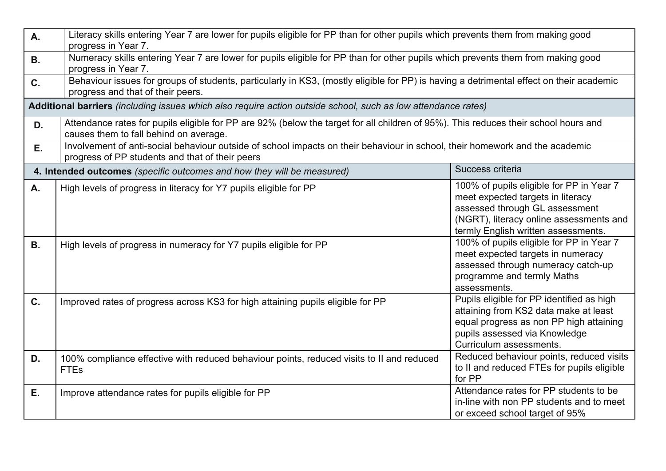| <b>A.</b> | Literacy skills entering Year 7 are lower for pupils eligible for PP than for other pupils which prevents them from making good<br>progress in Year 7.                          |                                                                                                                                                                                                   |  |  |  |  |  |  |
|-----------|---------------------------------------------------------------------------------------------------------------------------------------------------------------------------------|---------------------------------------------------------------------------------------------------------------------------------------------------------------------------------------------------|--|--|--|--|--|--|
| <b>B.</b> | Numeracy skills entering Year 7 are lower for pupils eligible for PP than for other pupils which prevents them from making good<br>progress in Year 7.                          |                                                                                                                                                                                                   |  |  |  |  |  |  |
| C.        | Behaviour issues for groups of students, particularly in KS3, (mostly eligible for PP) is having a detrimental effect on their academic<br>progress and that of their peers.    |                                                                                                                                                                                                   |  |  |  |  |  |  |
|           | Additional barriers (including issues which also require action outside school, such as low attendance rates)                                                                   |                                                                                                                                                                                                   |  |  |  |  |  |  |
| D.        | Attendance rates for pupils eligible for PP are 92% (below the target for all children of 95%). This reduces their school hours and<br>causes them to fall behind on average.   |                                                                                                                                                                                                   |  |  |  |  |  |  |
| Ε.        | Involvement of anti-social behaviour outside of school impacts on their behaviour in school, their homework and the academic<br>progress of PP students and that of their peers |                                                                                                                                                                                                   |  |  |  |  |  |  |
|           | 4. Intended outcomes (specific outcomes and how they will be measured)                                                                                                          | Success criteria                                                                                                                                                                                  |  |  |  |  |  |  |
| A.        | High levels of progress in literacy for Y7 pupils eligible for PP                                                                                                               | 100% of pupils eligible for PP in Year 7<br>meet expected targets in literacy<br>assessed through GL assessment<br>(NGRT), literacy online assessments and<br>termly English written assessments. |  |  |  |  |  |  |
| <b>B.</b> | High levels of progress in numeracy for Y7 pupils eligible for PP                                                                                                               | 100% of pupils eligible for PP in Year 7<br>meet expected targets in numeracy<br>assessed through numeracy catch-up<br>programme and termly Maths<br>assessments.                                 |  |  |  |  |  |  |
| C.        | Improved rates of progress across KS3 for high attaining pupils eligible for PP                                                                                                 | Pupils eligible for PP identified as high<br>attaining from KS2 data make at least<br>equal progress as non PP high attaining<br>pupils assessed via Knowledge<br>Curriculum assessments.         |  |  |  |  |  |  |
| D.        | 100% compliance effective with reduced behaviour points, reduced visits to II and reduced<br><b>FTEs</b>                                                                        | Reduced behaviour points, reduced visits<br>to II and reduced FTEs for pupils eligible<br>for PP                                                                                                  |  |  |  |  |  |  |
| Ε.        | Improve attendance rates for pupils eligible for PP                                                                                                                             | Attendance rates for PP students to be<br>in-line with non PP students and to meet<br>or exceed school target of 95%                                                                              |  |  |  |  |  |  |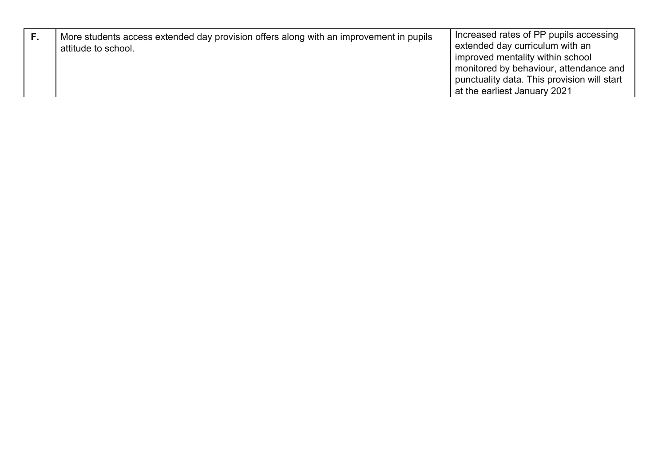| г. | More students access extended day provision offers along with an improvement in pupils<br>attitude to school. | Increased rates of PP pupils accessing<br>extended day curriculum with an<br>improved mentality within school<br>monitored by behaviour, attendance and<br>punctuality data. This provision will start<br>at the earliest January 2021 |
|----|---------------------------------------------------------------------------------------------------------------|----------------------------------------------------------------------------------------------------------------------------------------------------------------------------------------------------------------------------------------|
|----|---------------------------------------------------------------------------------------------------------------|----------------------------------------------------------------------------------------------------------------------------------------------------------------------------------------------------------------------------------------|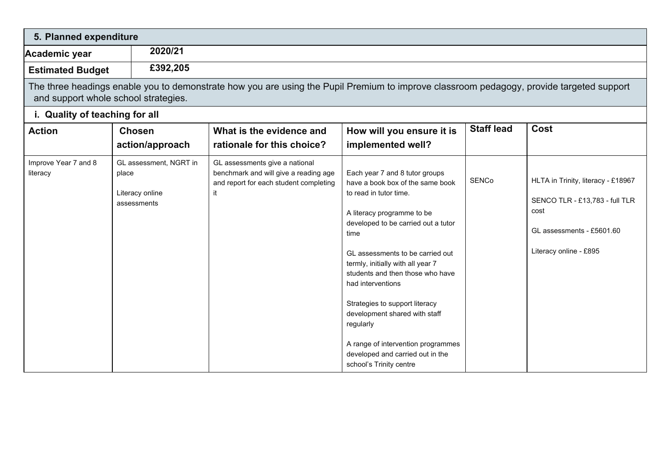| 5. Planned expenditure               |                                                                   |                                                                                                                                          |                                                                                                                                                                                                                                                                                                                                                                                                                                                                                                  |                   |                                                                                                                                     |
|--------------------------------------|-------------------------------------------------------------------|------------------------------------------------------------------------------------------------------------------------------------------|--------------------------------------------------------------------------------------------------------------------------------------------------------------------------------------------------------------------------------------------------------------------------------------------------------------------------------------------------------------------------------------------------------------------------------------------------------------------------------------------------|-------------------|-------------------------------------------------------------------------------------------------------------------------------------|
| Academic year                        | 2020/21                                                           |                                                                                                                                          |                                                                                                                                                                                                                                                                                                                                                                                                                                                                                                  |                   |                                                                                                                                     |
| <b>Estimated Budget</b>              | £392,205                                                          |                                                                                                                                          |                                                                                                                                                                                                                                                                                                                                                                                                                                                                                                  |                   |                                                                                                                                     |
| and support whole school strategies. |                                                                   | The three headings enable you to demonstrate how you are using the Pupil Premium to improve classroom pedagogy, provide targeted support |                                                                                                                                                                                                                                                                                                                                                                                                                                                                                                  |                   |                                                                                                                                     |
| i. Quality of teaching for all       |                                                                   |                                                                                                                                          |                                                                                                                                                                                                                                                                                                                                                                                                                                                                                                  |                   |                                                                                                                                     |
| <b>Action</b>                        | <b>Chosen</b><br>action/approach                                  | What is the evidence and<br>rationale for this choice?                                                                                   | How will you ensure it is<br>implemented well?                                                                                                                                                                                                                                                                                                                                                                                                                                                   | <b>Staff lead</b> | Cost                                                                                                                                |
| Improve Year 7 and 8<br>literacy     | GL assessment, NGRT in<br>place<br>Literacy online<br>assessments | GL assessments give a national<br>benchmark and will give a reading age<br>and report for each student completing<br>it                  | Each year 7 and 8 tutor groups<br>have a book box of the same book<br>to read in tutor time.<br>A literacy programme to be<br>developed to be carried out a tutor<br>time<br>GL assessments to be carried out<br>termly, initially with all year 7<br>students and then those who have<br>had interventions<br>Strategies to support literacy<br>development shared with staff<br>regularly<br>A range of intervention programmes<br>developed and carried out in the<br>school's Trinity centre | <b>SENCo</b>      | HLTA in Trinity, literacy - £18967<br>SENCO TLR - £13,783 - full TLR<br>cost<br>GL assessments - £5601.60<br>Literacy online - £895 |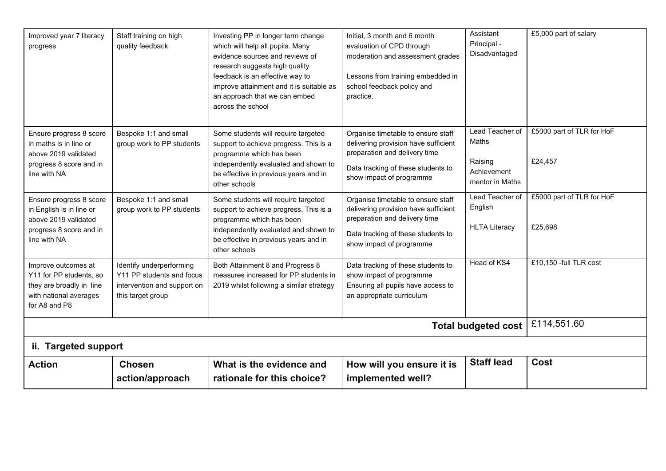| Improved year 7 literacy<br>progress                                                                                   | Staff training on high<br>quality feedback                                                                | Investing PP in longer term change<br>which will help all pupils. Many<br>evidence sources and reviews of<br>research suggests high quality<br>feedback is an effective way to<br>improve attainment and it is suitable as<br>an approach that we can embed<br>across the school | Initial, 3 month and 6 month<br>evaluation of CPD through<br>moderation and assessment grades<br>Lessons from training embedded in<br>school feedback policy and<br>practice. | Assistant<br>Principal -<br>Disadvantaged                             | £5,000 part of salary                |
|------------------------------------------------------------------------------------------------------------------------|-----------------------------------------------------------------------------------------------------------|----------------------------------------------------------------------------------------------------------------------------------------------------------------------------------------------------------------------------------------------------------------------------------|-------------------------------------------------------------------------------------------------------------------------------------------------------------------------------|-----------------------------------------------------------------------|--------------------------------------|
| Ensure progress 8 score<br>in maths is in line or<br>above 2019 validated<br>progress 8 score and in<br>line with NA   | Bespoke 1:1 and small<br>group work to PP students                                                        | Some students will require targeted<br>support to achieve progress. This is a<br>programme which has been<br>independently evaluated and shown to<br>be effective in previous years and in<br>other schools                                                                      | Organise timetable to ensure staff<br>delivering provision have sufficient<br>preparation and delivery time<br>Data tracking of these students to<br>show impact of programme | Lead Teacher of<br>Maths<br>Raising<br>Achievement<br>mentor in Maths | £5000 part of TLR for HoF<br>£24,457 |
| Ensure progress 8 score<br>in English is in line or<br>above 2019 validated<br>progress 8 score and in<br>line with NA | Bespoke 1:1 and small<br>group work to PP students                                                        | Some students will require targeted<br>support to achieve progress. This is a<br>programme which has been<br>independently evaluated and shown to<br>be effective in previous years and in<br>other schools                                                                      | Organise timetable to ensure staff<br>delivering provision have sufficient<br>preparation and delivery time<br>Data tracking of these students to<br>show impact of programme | Lead Teacher of<br>English<br><b>HLTA Literacy</b>                    | £5000 part of TLR for HoF<br>£25,698 |
| Improve outcomes at<br>Y11 for PP students, so<br>they are broadly in line<br>with national averages<br>for A8 and P8  | Identify underperforming<br>Y11 PP students and focus<br>intervention and support on<br>this target group | Both Attainment 8 and Progress 8<br>measures increased for PP students in<br>2019 whilst following a similar strategy                                                                                                                                                            | Data tracking of these students to<br>show impact of programme<br>Ensuring all pupils have access to<br>an appropriate curriculum                                             | Head of KS4                                                           | £10,150 -full TLR cost               |
|                                                                                                                        |                                                                                                           |                                                                                                                                                                                                                                                                                  |                                                                                                                                                                               | <b>Total budgeted cost</b>                                            | £114,551.60                          |
| ii. Targeted support                                                                                                   |                                                                                                           |                                                                                                                                                                                                                                                                                  |                                                                                                                                                                               |                                                                       |                                      |
| <b>Action</b>                                                                                                          | <b>Chosen</b><br>action/approach                                                                          | What is the evidence and<br>rationale for this choice?                                                                                                                                                                                                                           | How will you ensure it is<br>implemented well?                                                                                                                                | <b>Staff lead</b>                                                     | Cost                                 |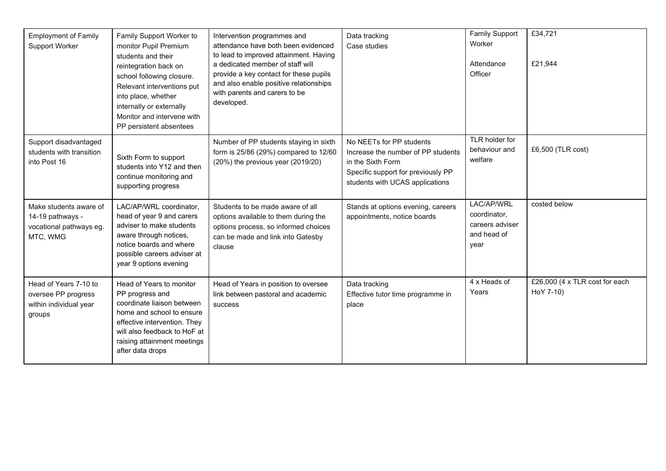| <b>Employment of Family</b><br>Support Worker                                     | Family Support Worker to<br>monitor Pupil Premium<br>students and their<br>reintegration back on<br>school following closure.<br>Relevant interventions put<br>into place, whether<br>internally or externally<br>Monitor and intervene with<br>PP persistent absentees | Intervention programmes and<br>attendance have both been evidenced<br>to lead to improved attainment. Having<br>a dedicated member of staff will<br>provide a key contact for these pupils<br>and also enable positive relationships<br>with parents and carers to be<br>developed. | Data tracking<br>Case studies                                                                                                                                | <b>Family Support</b><br>Worker<br>Attendance<br>Officer             | £34,721<br>£21,944                          |
|-----------------------------------------------------------------------------------|-------------------------------------------------------------------------------------------------------------------------------------------------------------------------------------------------------------------------------------------------------------------------|-------------------------------------------------------------------------------------------------------------------------------------------------------------------------------------------------------------------------------------------------------------------------------------|--------------------------------------------------------------------------------------------------------------------------------------------------------------|----------------------------------------------------------------------|---------------------------------------------|
| Support disadvantaged<br>students with transition<br>into Post 16                 | Sixth Form to support<br>students into Y12 and then<br>continue monitoring and<br>supporting progress                                                                                                                                                                   | Number of PP students staying in sixth<br>form is 25/86 (29%) compared to 12/60<br>(20%) the previous year (2019/20)                                                                                                                                                                | No NEETs for PP students<br>Increase the number of PP students<br>in the Sixth Form<br>Specific support for previously PP<br>students with UCAS applications | TLR holder for<br>behaviour and<br>welfare                           | £6,500 (TLR cost)                           |
| Make students aware of<br>14-19 pathways -<br>vocational pathways eg.<br>MTC, WMG | LAC/AP/WRL coordinator,<br>head of year 9 and carers<br>adviser to make students<br>aware through notices,<br>notice boards and where<br>possible careers adviser at<br>year 9 options evening                                                                          | Students to be made aware of all<br>options available to them during the<br>options process, so informed choices<br>can be made and link into Gatesby<br>clause                                                                                                                     | Stands at options evening, careers<br>appointments, notice boards                                                                                            | LAC/AP/WRL<br>coordinator,<br>careers adviser<br>and head of<br>year | costed below                                |
| Head of Years 7-10 to<br>oversee PP progress<br>within individual year<br>groups  | Head of Years to monitor<br>PP progress and<br>coordinate liaison between<br>home and school to ensure<br>effective intervention. They<br>will also feedback to HoF at<br>raising attainment meetings<br>after data drops                                               | Head of Years in position to oversee<br>link between pastoral and academic<br>success                                                                                                                                                                                               | Data tracking<br>Effective tutor time programme in<br>place                                                                                                  | 4 x Heads of<br>Years                                                | £26,000 (4 x TLR cost for each<br>HoY 7-10) |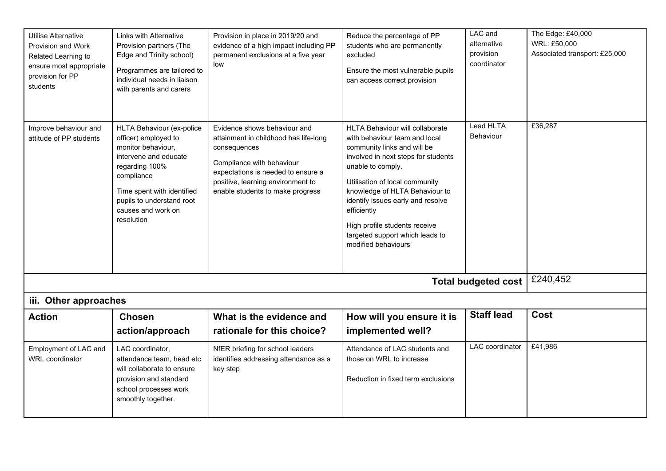| Utilise Alternative<br>Provision and Work<br>Related Learning to<br>ensure most appropriate<br>provision for PP<br>students | Links with Alternative<br>Provision partners (The<br>Edge and Trinity school)<br>Programmes are tailored to<br>individual needs in liaison<br>with parents and carers                                                           | Provision in place in 2019/20 and<br>evidence of a high impact including PP<br>permanent exclusions at a five year<br>low                                                                                                         | Reduce the percentage of PP<br>students who are permanently<br>excluded<br>Ensure the most vulnerable pupils<br>can access correct provision                                                                                                                                                                                                                                   | LAC and<br>alternative<br>provision<br>coordinator | The Edge: £40,000<br>WRL: £50,000<br>Associated transport: £25,000 |
|-----------------------------------------------------------------------------------------------------------------------------|---------------------------------------------------------------------------------------------------------------------------------------------------------------------------------------------------------------------------------|-----------------------------------------------------------------------------------------------------------------------------------------------------------------------------------------------------------------------------------|--------------------------------------------------------------------------------------------------------------------------------------------------------------------------------------------------------------------------------------------------------------------------------------------------------------------------------------------------------------------------------|----------------------------------------------------|--------------------------------------------------------------------|
| Improve behaviour and<br>attitude of PP students                                                                            | HLTA Behaviour (ex-police<br>officer) employed to<br>monitor behaviour,<br>intervene and educate<br>regarding 100%<br>compliance<br>Time spent with identified<br>pupils to understand root<br>causes and work on<br>resolution | Evidence shows behaviour and<br>attainment in childhood has life-long<br>consequences<br>Compliance with behaviour<br>expectations is needed to ensure a<br>positive, learning environment to<br>enable students to make progress | HLTA Behaviour will collaborate<br>with behaviour team and local<br>community links and will be<br>involved in next steps for students<br>unable to comply.<br>Utilisation of local community<br>knowledge of HLTA Behaviour to<br>identify issues early and resolve<br>efficiently<br>High profile students receive<br>targeted support which leads to<br>modified behaviours | Lead HLTA<br><b>Behaviour</b>                      | £36,287                                                            |
|                                                                                                                             |                                                                                                                                                                                                                                 |                                                                                                                                                                                                                                   |                                                                                                                                                                                                                                                                                                                                                                                | <b>Total budgeted cost</b>                         | £240,452                                                           |
| iii. Other approaches                                                                                                       |                                                                                                                                                                                                                                 |                                                                                                                                                                                                                                   |                                                                                                                                                                                                                                                                                                                                                                                |                                                    |                                                                    |
| <b>Action</b>                                                                                                               | <b>Chosen</b><br>action/approach                                                                                                                                                                                                | What is the evidence and<br>rationale for this choice?                                                                                                                                                                            | How will you ensure it is<br>implemented well?                                                                                                                                                                                                                                                                                                                                 | <b>Staff lead</b>                                  | <b>Cost</b>                                                        |
| Employment of LAC and<br>WRL coordinator                                                                                    | LAC coordinator,<br>attendance team, head etc<br>will collaborate to ensure<br>provision and standard<br>school processes work<br>smoothly together.                                                                            | NfER briefing for school leaders<br>identifies addressing attendance as a<br>key step                                                                                                                                             | Attendance of LAC students and<br>those on WRL to increase<br>Reduction in fixed term exclusions                                                                                                                                                                                                                                                                               | LAC coordinator                                    | £41,986                                                            |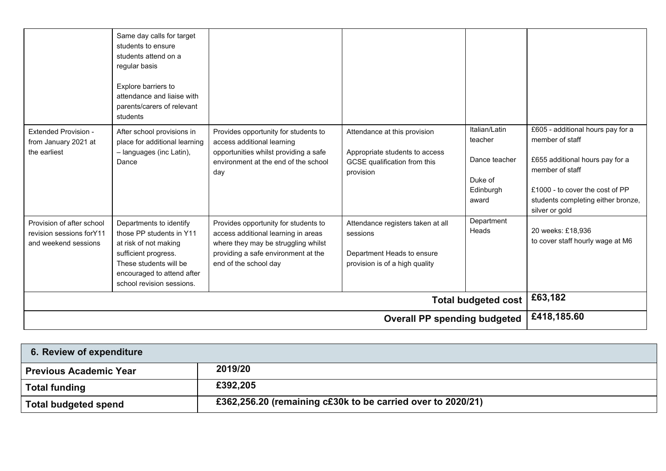| <b>Extended Provision -</b>                                                    | Same day calls for target<br>students to ensure<br>students attend on a<br>regular basis<br>Explore barriers to<br>attendance and liaise with<br>parents/carers of relevant<br>students<br>After school provisions in | Provides opportunity for students to                                                                                                                                               | Attendance at this provision                                                                                  | Italian/Latin                                             | £605 - additional hours pay for a                                                                                                                                |
|--------------------------------------------------------------------------------|-----------------------------------------------------------------------------------------------------------------------------------------------------------------------------------------------------------------------|------------------------------------------------------------------------------------------------------------------------------------------------------------------------------------|---------------------------------------------------------------------------------------------------------------|-----------------------------------------------------------|------------------------------------------------------------------------------------------------------------------------------------------------------------------|
| from January 2021 at<br>the earliest                                           | place for additional learning<br>- languages (inc Latin),<br>Dance                                                                                                                                                    | access additional learning<br>opportunities whilst providing a safe<br>environment at the end of the school<br>day                                                                 | Appropriate students to access<br>GCSE qualification from this<br>provision                                   | teacher<br>Dance teacher<br>Duke of<br>Edinburgh<br>award | member of staff<br>£655 additional hours pay for a<br>member of staff<br>£1000 - to cover the cost of PP<br>students completing either bronze,<br>silver or gold |
| Provision of after school<br>revision sessions for Y11<br>and weekend sessions | Departments to identify<br>those PP students in Y11<br>at risk of not making<br>sufficient progress.<br>These students will be<br>encouraged to attend after<br>school revision sessions.                             | Provides opportunity for students to<br>access additional learning in areas<br>where they may be struggling whilst<br>providing a safe environment at the<br>end of the school day | Attendance registers taken at all<br>sessions<br>Department Heads to ensure<br>provision is of a high quality | Department<br>Heads                                       | 20 weeks: £18,936<br>to cover staff hourly wage at M6                                                                                                            |
|                                                                                |                                                                                                                                                                                                                       |                                                                                                                                                                                    |                                                                                                               | <b>Total budgeted cost</b>                                | £63,182                                                                                                                                                          |
|                                                                                |                                                                                                                                                                                                                       |                                                                                                                                                                                    | <b>Overall PP spending budgeted</b>                                                                           |                                                           | £418,185.60                                                                                                                                                      |

| 6. Review of expenditure      |                                                             |
|-------------------------------|-------------------------------------------------------------|
| <b>Previous Academic Year</b> | 2019/20                                                     |
| <b>Total funding</b>          | £392,205                                                    |
| <b>Total budgeted spend</b>   | £362,256.20 (remaining c£30k to be carried over to 2020/21) |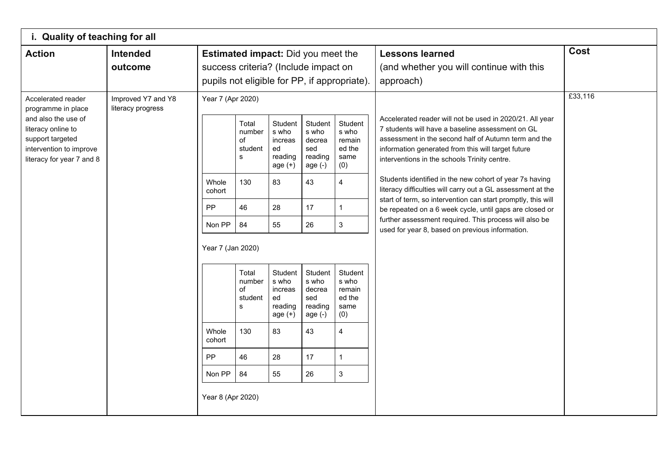| i. Quality of teaching for all                                                                                                                                    |                                         |                                                                                                                                   |                                                                                                                      |                                                                                                                                                            |                                                                                                                                                            |                                                                                                                                                                                          |                                                                                                                                                                                                                                                                                                                                                                                                                                                                                                                                                                                                                                              |             |
|-------------------------------------------------------------------------------------------------------------------------------------------------------------------|-----------------------------------------|-----------------------------------------------------------------------------------------------------------------------------------|----------------------------------------------------------------------------------------------------------------------|------------------------------------------------------------------------------------------------------------------------------------------------------------|------------------------------------------------------------------------------------------------------------------------------------------------------------|------------------------------------------------------------------------------------------------------------------------------------------------------------------------------------------|----------------------------------------------------------------------------------------------------------------------------------------------------------------------------------------------------------------------------------------------------------------------------------------------------------------------------------------------------------------------------------------------------------------------------------------------------------------------------------------------------------------------------------------------------------------------------------------------------------------------------------------------|-------------|
| <b>Action</b>                                                                                                                                                     | Intended<br>outcome                     | <b>Estimated impact:</b> Did you meet the<br>success criteria? (Include impact on<br>pupils not eligible for PP, if appropriate). |                                                                                                                      |                                                                                                                                                            |                                                                                                                                                            |                                                                                                                                                                                          | <b>Lessons learned</b><br>(and whether you will continue with this<br>approach)                                                                                                                                                                                                                                                                                                                                                                                                                                                                                                                                                              | <b>Cost</b> |
| Accelerated reader<br>programme in place<br>and also the use of<br>literacy online to<br>support targeted<br>intervention to improve<br>literacy for year 7 and 8 | Improved Y7 and Y8<br>literacy progress | Year 7 (Apr 2020)<br>Whole<br>cohort<br>PP<br>Non PP<br>Year 7 (Jan 2020)<br>Whole<br>cohort<br>PP<br>Non PP<br>Year 8 (Apr 2020) | Total<br>number<br>of<br>student<br>s<br>130<br>46<br>84<br>Total<br>number<br>of<br>student<br>s<br>130<br>46<br>84 | Student<br>s who<br>increas<br>ed<br>reading<br>age $(+)$<br>83<br>28<br>55<br>Student<br>s who<br>increas<br>ed<br>reading<br>age $(+)$<br>83<br>28<br>55 | Student<br>s who<br>decrea<br>sed<br>reading<br>age $(-)$<br>43<br>17<br>26<br>Student<br>s who<br>decrea<br>sed<br>reading<br>age $(-)$<br>43<br>17<br>26 | Student<br>s who<br>remain<br>ed the<br>same<br>(0)<br>4<br>1<br>$\ensuremath{\mathsf{3}}$<br>Student<br>s who<br>remain<br>ed the<br>same<br>(0)<br>4<br>1<br>$\ensuremath{\mathsf{3}}$ | Accelerated reader will not be used in 2020/21. All year<br>7 students will have a baseline assessment on GL<br>assessment in the second half of Autumn term and the<br>information generated from this will target future<br>interventions in the schools Trinity centre.<br>Students identified in the new cohort of year 7s having<br>literacy difficulties will carry out a GL assessment at the<br>start of term, so intervention can start promptly, this will<br>be repeated on a 6 week cycle, until gaps are closed or<br>further assessment required. This process will also be<br>used for year 8, based on previous information. | £33,116     |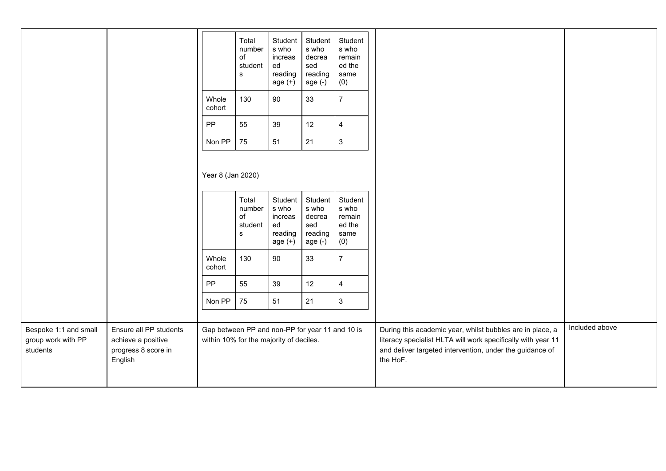|                                                         |                                                                                |                                                                                            | Total<br>number<br>of<br>student<br>s         | Student<br>s who<br>increas<br>ed<br>reading<br>age $(+)$ | Student<br>s who<br>decrea<br>sed<br>reading<br>age $(-)$ | Student<br>s who<br>remain<br>ed the<br>same<br>(0)   |                                                                                                                                                                                                   |                |
|---------------------------------------------------------|--------------------------------------------------------------------------------|--------------------------------------------------------------------------------------------|-----------------------------------------------|-----------------------------------------------------------|-----------------------------------------------------------|-------------------------------------------------------|---------------------------------------------------------------------------------------------------------------------------------------------------------------------------------------------------|----------------|
|                                                         |                                                                                | Whole<br>cohort                                                                            | 130                                           | 90                                                        | 33                                                        | $\overline{7}$                                        |                                                                                                                                                                                                   |                |
|                                                         |                                                                                | PP                                                                                         | 55                                            | 39                                                        | 12                                                        | $\overline{\mathbf{4}}$                               |                                                                                                                                                                                                   |                |
|                                                         |                                                                                | Non PP                                                                                     | 75                                            | 51                                                        | 21                                                        | $\mathbf{3}$                                          |                                                                                                                                                                                                   |                |
|                                                         |                                                                                | Year 8 (Jan 2020)                                                                          |                                               |                                                           |                                                           |                                                       |                                                                                                                                                                                                   |                |
|                                                         |                                                                                |                                                                                            | Total<br>number<br>of<br>student<br>${\bf s}$ | Student<br>s who<br>increas<br>ed<br>reading<br>age $(+)$ | Student<br>s who<br>decrea<br>sed<br>reading<br>age (-)   | Student<br>s who<br>remain<br>ed the<br>same<br>$(0)$ |                                                                                                                                                                                                   |                |
|                                                         |                                                                                | Whole<br>cohort                                                                            | 130                                           | 90                                                        | 33                                                        | $\overline{7}$                                        |                                                                                                                                                                                                   |                |
|                                                         |                                                                                | PP                                                                                         | 55                                            | 39                                                        | 12                                                        | $\overline{\mathbf{4}}$                               |                                                                                                                                                                                                   |                |
|                                                         |                                                                                | Non PP                                                                                     | 75                                            | 51                                                        | 21                                                        | $\mathfrak{3}$                                        |                                                                                                                                                                                                   |                |
|                                                         |                                                                                |                                                                                            |                                               |                                                           |                                                           |                                                       |                                                                                                                                                                                                   |                |
| Bespoke 1:1 and small<br>group work with PP<br>students | Ensure all PP students<br>achieve a positive<br>progress 8 score in<br>English | Gap between PP and non-PP for year 11 and 10 is<br>within 10% for the majority of deciles. |                                               |                                                           |                                                           |                                                       | During this academic year, whilst bubbles are in place, a<br>literacy specialist HLTA will work specifically with year 11<br>and deliver targeted intervention, under the guidance of<br>the HoF. | Included above |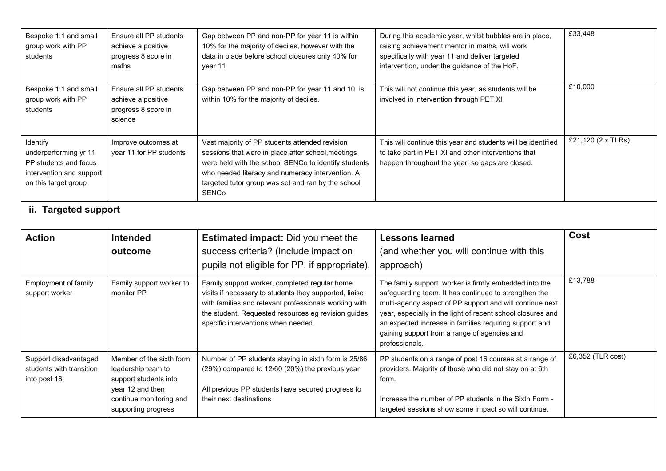| Bespoke 1:1 and small<br>group work with PP<br>students                                                        | Ensure all PP students<br>achieve a positive<br>progress 8 score in<br>maths   | Gap between PP and non-PP for year 11 is within<br>10% for the majority of deciles, however with the<br>data in place before school closures only 40% for<br>year 11                                                                                                                   | During this academic year, whilst bubbles are in place,<br>raising achievement mentor in maths, will work<br>specifically with year 11 and deliver targeted<br>intervention, under the guidance of the HoF.                                                                                                                                                           | £33,448            |
|----------------------------------------------------------------------------------------------------------------|--------------------------------------------------------------------------------|----------------------------------------------------------------------------------------------------------------------------------------------------------------------------------------------------------------------------------------------------------------------------------------|-----------------------------------------------------------------------------------------------------------------------------------------------------------------------------------------------------------------------------------------------------------------------------------------------------------------------------------------------------------------------|--------------------|
| Bespoke 1:1 and small<br>group work with PP<br>students                                                        | Ensure all PP students<br>achieve a positive<br>progress 8 score in<br>science | Gap between PP and non-PP for year 11 and 10 is<br>within 10% for the majority of deciles.                                                                                                                                                                                             | This will not continue this year, as students will be<br>involved in intervention through PET XI                                                                                                                                                                                                                                                                      | £10,000            |
| Identify<br>underperforming yr 11<br>PP students and focus<br>intervention and support<br>on this target group | Improve outcomes at<br>year 11 for PP students                                 | Vast majority of PP students attended revision<br>sessions that were in place after school, meetings<br>were held with the school SENCo to identify students<br>who needed literacy and numeracy intervention. A<br>targeted tutor group was set and ran by the school<br><b>SENCo</b> | This will continue this year and students will be identified<br>to take part in PET XI and other interventions that<br>happen throughout the year, so gaps are closed.                                                                                                                                                                                                | £21,120 (2 x TLRs) |
| ii. Targeted support                                                                                           |                                                                                |                                                                                                                                                                                                                                                                                        |                                                                                                                                                                                                                                                                                                                                                                       |                    |
|                                                                                                                |                                                                                |                                                                                                                                                                                                                                                                                        |                                                                                                                                                                                                                                                                                                                                                                       |                    |
| <b>Action</b>                                                                                                  | <b>Intended</b><br>outcome                                                     | <b>Estimated impact:</b> Did you meet the<br>success criteria? (Include impact on<br>pupils not eligible for PP, if appropriate).                                                                                                                                                      | <b>Lessons learned</b><br>(and whether you will continue with this<br>approach)                                                                                                                                                                                                                                                                                       | Cost               |
| Employment of family<br>support worker                                                                         | Family support worker to<br>monitor PP                                         | Family support worker, completed regular home<br>visits if necessary to students they supported, liaise<br>with families and relevant professionals working with<br>the student. Requested resources eg revision guides,<br>specific interventions when needed.                        | The family support worker is firmly embedded into the<br>safeguarding team. It has continued to strengthen the<br>multi-agency aspect of PP support and will continue next<br>year, especially in the light of recent school closures and<br>an expected increase in families requiring support and<br>gaining support from a range of agencies and<br>professionals. | £13,788            |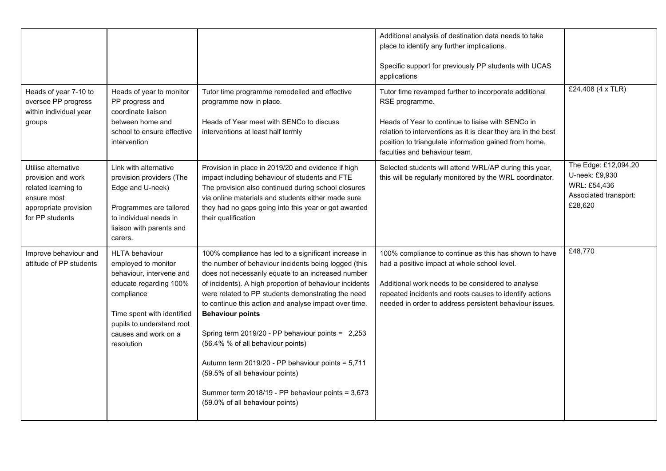|                                                                                                                             |                                                                                                                                                                                                                   |                                                                                                                                                                                                                                                                                                                                                                                                                                                                                                                                                                                                                                                   | Additional analysis of destination data needs to take<br>place to identify any further implications.<br>Specific support for previously PP students with UCAS<br>applications                                                                                                           |                                                                                            |
|-----------------------------------------------------------------------------------------------------------------------------|-------------------------------------------------------------------------------------------------------------------------------------------------------------------------------------------------------------------|---------------------------------------------------------------------------------------------------------------------------------------------------------------------------------------------------------------------------------------------------------------------------------------------------------------------------------------------------------------------------------------------------------------------------------------------------------------------------------------------------------------------------------------------------------------------------------------------------------------------------------------------------|-----------------------------------------------------------------------------------------------------------------------------------------------------------------------------------------------------------------------------------------------------------------------------------------|--------------------------------------------------------------------------------------------|
| Heads of year 7-10 to<br>oversee PP progress<br>within individual year<br>groups                                            | Heads of year to monitor<br>PP progress and<br>coordinate liaison<br>between home and<br>school to ensure effective<br>intervention                                                                               | Tutor time programme remodelled and effective<br>programme now in place.<br>Heads of Year meet with SENCo to discuss<br>interventions at least half termly                                                                                                                                                                                                                                                                                                                                                                                                                                                                                        | Tutor time revamped further to incorporate additional<br>RSE programme.<br>Heads of Year to continue to liaise with SENCo in<br>relation to interventions as it is clear they are in the best<br>position to triangulate information gained from home,<br>faculties and behaviour team. | £24,408 (4 x TLR)                                                                          |
| Utilise alternative<br>provision and work<br>related learning to<br>ensure most<br>appropriate provision<br>for PP students | Link with alternative<br>provision providers (The<br>Edge and U-neek)<br>Programmes are tailored<br>to individual needs in<br>liaison with parents and<br>carers.                                                 | Provision in place in 2019/20 and evidence if high<br>impact including behaviour of students and FTE<br>The provision also continued during school closures<br>via online materials and students either made sure<br>they had no gaps going into this year or got awarded<br>their qualification                                                                                                                                                                                                                                                                                                                                                  | Selected students will attend WRL/AP during this year,<br>this will be regularly monitored by the WRL coordinator.                                                                                                                                                                      | The Edge: £12,094.20<br>U-neek: £9,930<br>WRL: £54,436<br>Associated transport:<br>£28,620 |
| Improve behaviour and<br>attitude of PP students                                                                            | <b>HLTA behaviour</b><br>employed to monitor<br>behaviour, intervene and<br>educate regarding 100%<br>compliance<br>Time spent with identified<br>pupils to understand root<br>causes and work on a<br>resolution | 100% compliance has led to a significant increase in<br>the number of behaviour incidents being logged (this<br>does not necessarily equate to an increased number<br>of incidents). A high proportion of behaviour incidents<br>were related to PP students demonstrating the need<br>to continue this action and analyse impact over time.<br><b>Behaviour points</b><br>Spring term 2019/20 - PP behaviour points = 2,253<br>(56.4% % of all behaviour points)<br>Autumn term 2019/20 - PP behaviour points = 5,711<br>(59.5% of all behaviour points)<br>Summer term 2018/19 - PP behaviour points = 3,673<br>(59.0% of all behaviour points) | 100% compliance to continue as this has shown to have<br>had a positive impact at whole school level.<br>Additional work needs to be considered to analyse<br>repeated incidents and roots causes to identify actions<br>needed in order to address persistent behaviour issues.        | £48,770                                                                                    |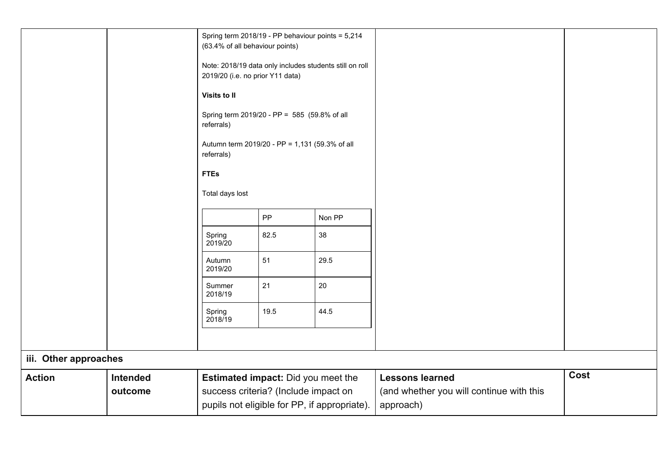|                       |          | (63.4% of all behaviour points)                                                             | Spring term 2018/19 - PP behaviour points = 5,214 |        |                                                       |      |
|-----------------------|----------|---------------------------------------------------------------------------------------------|---------------------------------------------------|--------|-------------------------------------------------------|------|
|                       |          | Note: 2018/19 data only includes students still on roll<br>2019/20 (i.e. no prior Y11 data) |                                                   |        |                                                       |      |
|                       |          | Visits to II                                                                                |                                                   |        |                                                       |      |
|                       |          | Spring term 2019/20 - PP = 585 (59.8% of all<br>referrals)                                  |                                                   |        |                                                       |      |
|                       |          | Autumn term 2019/20 - PP = 1,131 (59.3% of all<br>referrals)                                |                                                   |        |                                                       |      |
|                       |          | <b>FTEs</b>                                                                                 |                                                   |        |                                                       |      |
|                       |          | Total days lost                                                                             |                                                   |        |                                                       |      |
|                       |          |                                                                                             | PP                                                | Non PP |                                                       |      |
|                       |          | Spring<br>2019/20                                                                           | 82.5                                              | 38     |                                                       |      |
|                       |          | Autumn<br>2019/20                                                                           | 51                                                | 29.5   |                                                       |      |
|                       |          | Summer<br>2018/19                                                                           | 21                                                | 20     |                                                       |      |
|                       |          | Spring<br>2018/19                                                                           | 19.5                                              | 44.5   |                                                       |      |
|                       |          |                                                                                             |                                                   |        |                                                       |      |
| iii. Other approaches |          |                                                                                             |                                                   |        |                                                       |      |
| <b>Action</b>         | Intended | Estimated impact: Did you meet the                                                          |                                                   |        | <b>Lessons learned</b>                                | Cost |
|                       | outcome  | success criteria? (Include impact on<br>pupils not eligible for PP, if appropriate).        |                                                   |        | (and whether you will continue with this<br>approach) |      |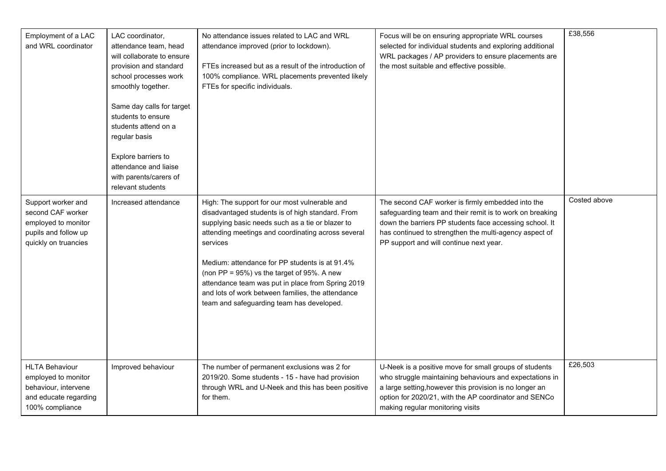| Employment of a LAC<br>and WRL coordinator                                                                       | LAC coordinator,<br>attendance team, head<br>will collaborate to ensure<br>provision and standard<br>school processes work<br>smoothly together.<br>Same day calls for target<br>students to ensure<br>students attend on a<br>regular basis<br>Explore barriers to<br>attendance and liaise<br>with parents/carers of<br>relevant students | No attendance issues related to LAC and WRL<br>attendance improved (prior to lockdown).<br>FTEs increased but as a result of the introduction of<br>100% compliance. WRL placements prevented likely<br>FTEs for specific individuals.                                                                                                                                                                                                                                                 | Focus will be on ensuring appropriate WRL courses<br>selected for individual students and exploring additional<br>WRL packages / AP providers to ensure placements are<br>the most suitable and effective possible.                                                           | £38,556      |
|------------------------------------------------------------------------------------------------------------------|---------------------------------------------------------------------------------------------------------------------------------------------------------------------------------------------------------------------------------------------------------------------------------------------------------------------------------------------|----------------------------------------------------------------------------------------------------------------------------------------------------------------------------------------------------------------------------------------------------------------------------------------------------------------------------------------------------------------------------------------------------------------------------------------------------------------------------------------|-------------------------------------------------------------------------------------------------------------------------------------------------------------------------------------------------------------------------------------------------------------------------------|--------------|
| Support worker and<br>second CAF worker<br>employed to monitor<br>pupils and follow up<br>quickly on truancies   | Increased attendance                                                                                                                                                                                                                                                                                                                        | High: The support for our most vulnerable and<br>disadvantaged students is of high standard. From<br>supplying basic needs such as a tie or blazer to<br>attending meetings and coordinating across several<br>services<br>Medium: attendance for PP students is at 91.4%<br>(non PP = $95\%$ ) vs the target of $95\%$ . A new<br>attendance team was put in place from Spring 2019<br>and lots of work between families, the attendance<br>team and safeguarding team has developed. | The second CAF worker is firmly embedded into the<br>safeguarding team and their remit is to work on breaking<br>down the barriers PP students face accessing school. It<br>has continued to strengthen the multi-agency aspect of<br>PP support and will continue next year. | Costed above |
| <b>HLTA Behaviour</b><br>employed to monitor<br>behaviour, intervene<br>and educate regarding<br>100% compliance | Improved behaviour                                                                                                                                                                                                                                                                                                                          | The number of permanent exclusions was 2 for<br>2019/20. Some students - 15 - have had provision<br>through WRL and U-Neek and this has been positive<br>for them.                                                                                                                                                                                                                                                                                                                     | U-Neek is a positive move for small groups of students<br>who struggle maintaining behaviours and expectations in<br>a large setting, however this provision is no longer an<br>option for 2020/21, with the AP coordinator and SENCo<br>making regular monitoring visits     | £26,503      |